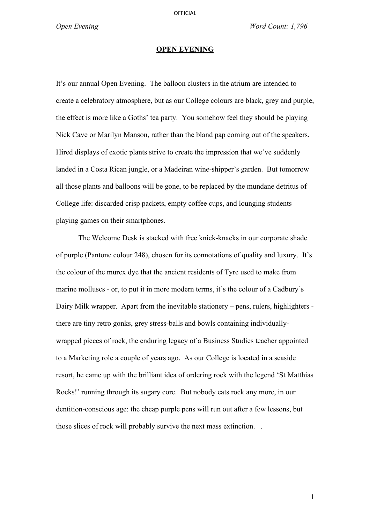*Open Evening Word Count: 1,796* 

### **OPEN EVENING**

It's our annual Open Evening. The balloon clusters in the atrium are intended to create a celebratory atmosphere, but as our College colours are black, grey and purple, the effect is more like a Goths' tea party. You somehow feel they should be playing Nick Cave or Marilyn Manson, rather than the bland pap coming out of the speakers. Hired displays of exotic plants strive to create the impression that we've suddenly landed in a Costa Rican jungle, or a Madeiran wine-shipper's garden. But tomorrow all those plants and balloons will be gone, to be replaced by the mundane detritus of College life: discarded crisp packets, empty coffee cups, and lounging students playing games on their smartphones.

The Welcome Desk is stacked with free knick-knacks in our corporate shade of purple (Pantone colour 248), chosen for its connotations of quality and luxury. It's the colour of the murex dye that the ancient residents of Tyre used to make from marine molluscs - or, to put it in more modern terms, it's the colour of a Cadbury's Dairy Milk wrapper. Apart from the inevitable stationery – pens, rulers, highlighters there are tiny retro gonks, grey stress-balls and bowls containing individuallywrapped pieces of rock, the enduring legacy of a Business Studies teacher appointed to a Marketing role a couple of years ago. As our College is located in a seaside resort, he came up with the brilliant idea of ordering rock with the legend 'St Matthias Rocks!' running through its sugary core. But nobody eats rock any more, in our dentition-conscious age: the cheap purple pens will run out after a few lessons, but those slices of rock will probably survive the next mass extinction. .

1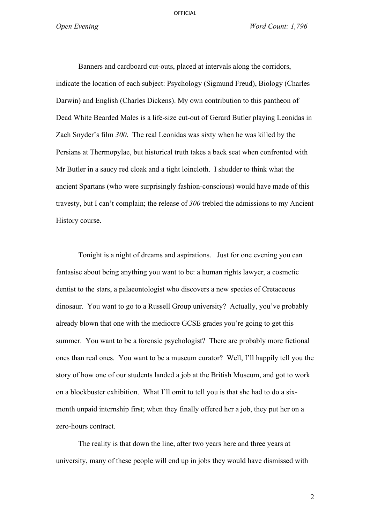OFFICIAL

Banners and cardboard cut-outs, placed at intervals along the corridors, indicate the location of each subject: Psychology (Sigmund Freud), Biology (Charles Darwin) and English (Charles Dickens). My own contribution to this pantheon of Dead White Bearded Males is a life-size cut-out of Gerard Butler playing Leonidas in Zach Snyder's film *300*. The real Leonidas was sixty when he was killed by the Persians at Thermopylae, but historical truth takes a back seat when confronted with Mr Butler in a saucy red cloak and a tight loincloth. I shudder to think what the ancient Spartans (who were surprisingly fashion-conscious) would have made of this travesty, but I can't complain; the release of *300* trebled the admissions to my Ancient History course.

Tonight is a night of dreams and aspirations. Just for one evening you can fantasise about being anything you want to be: a human rights lawyer, a cosmetic dentist to the stars, a palaeontologist who discovers a new species of Cretaceous dinosaur. You want to go to a Russell Group university? Actually, you've probably already blown that one with the mediocre GCSE grades you're going to get this summer. You want to be a forensic psychologist? There are probably more fictional ones than real ones. You want to be a museum curator? Well, I'll happily tell you the story of how one of our students landed a job at the British Museum, and got to work on a blockbuster exhibition. What I'll omit to tell you is that she had to do a sixmonth unpaid internship first; when they finally offered her a job, they put her on a zero-hours contract.

The reality is that down the line, after two years here and three years at university, many of these people will end up in jobs they would have dismissed with

2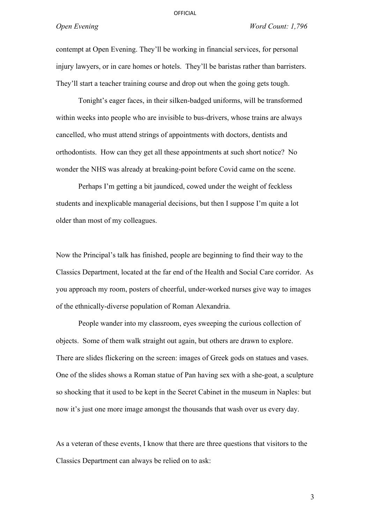### OFFICIAL

contempt at Open Evening. They'll be working in financial services, for personal injury lawyers, or in care homes or hotels. They'll be baristas rather than barristers. They'll start a teacher training course and drop out when the going gets tough.

Tonight's eager faces, in their silken-badged uniforms, will be transformed within weeks into people who are invisible to bus-drivers, whose trains are always cancelled, who must attend strings of appointments with doctors, dentists and orthodontists. How can they get all these appointments at such short notice? No wonder the NHS was already at breaking-point before Covid came on the scene.

Perhaps I'm getting a bit jaundiced, cowed under the weight of feckless students and inexplicable managerial decisions, but then I suppose I'm quite a lot older than most of my colleagues.

Now the Principal's talk has finished, people are beginning to find their way to the Classics Department, located at the far end of the Health and Social Care corridor. As you approach my room, posters of cheerful, under-worked nurses give way to images of the ethnically-diverse population of Roman Alexandria.

People wander into my classroom, eyes sweeping the curious collection of objects. Some of them walk straight out again, but others are drawn to explore. There are slides flickering on the screen: images of Greek gods on statues and vases. One of the slides shows a Roman statue of Pan having sex with a she-goat, a sculpture so shocking that it used to be kept in the Secret Cabinet in the museum in Naples: but now it's just one more image amongst the thousands that wash over us every day.

As a veteran of these events, I know that there are three questions that visitors to the Classics Department can always be relied on to ask: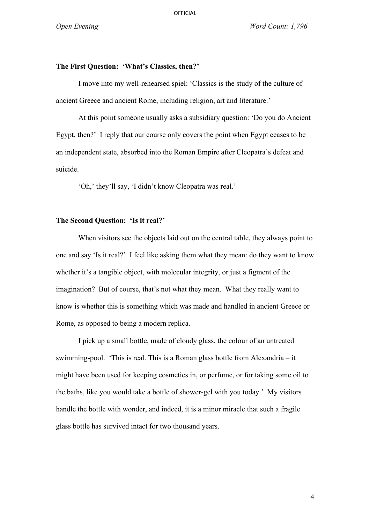## **The First Question: 'What's Classics, then?'**

I move into my well-rehearsed spiel: 'Classics is the study of the culture of ancient Greece and ancient Rome, including religion, art and literature.'

At this point someone usually asks a subsidiary question: 'Do you do Ancient Egypt, then?' I reply that our course only covers the point when Egypt ceases to be an independent state, absorbed into the Roman Empire after Cleopatra's defeat and suicide.

'Oh,' they'll say, 'I didn't know Cleopatra was real.'

## **The Second Question: 'Is it real?'**

When visitors see the objects laid out on the central table, they always point to one and say 'Is it real?' I feel like asking them what they mean: do they want to know whether it's a tangible object, with molecular integrity, or just a figment of the imagination? But of course, that's not what they mean. What they really want to know is whether this is something which was made and handled in ancient Greece or Rome, as opposed to being a modern replica.

I pick up a small bottle, made of cloudy glass, the colour of an untreated swimming-pool. 'This is real. This is a Roman glass bottle from Alexandria – it might have been used for keeping cosmetics in, or perfume, or for taking some oil to the baths, like you would take a bottle of shower-gel with you today.' My visitors handle the bottle with wonder, and indeed, it is a minor miracle that such a fragile glass bottle has survived intact for two thousand years.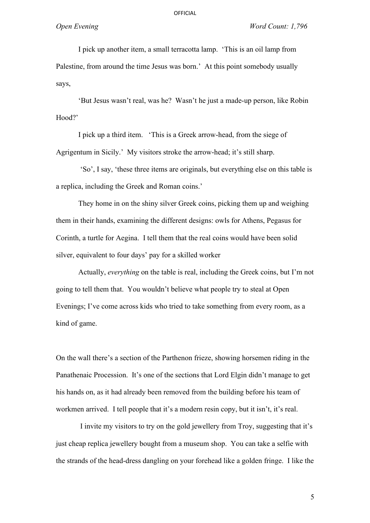I pick up another item, a small terracotta lamp. 'This is an oil lamp from Palestine, from around the time Jesus was born.' At this point somebody usually says,

'But Jesus wasn't real, was he? Wasn't he just a made-up person, like Robin Hood?'

I pick up a third item. 'This is a Greek arrow-head, from the siege of Agrigentum in Sicily.' My visitors stroke the arrow-head; it's still sharp.

 'So', I say, 'these three items are originals, but everything else on this table is a replica, including the Greek and Roman coins.'

They home in on the shiny silver Greek coins, picking them up and weighing them in their hands, examining the different designs: owls for Athens, Pegasus for Corinth, a turtle for Aegina. I tell them that the real coins would have been solid silver, equivalent to four days' pay for a skilled worker

Actually, *everything* on the table is real, including the Greek coins, but I'm not going to tell them that. You wouldn't believe what people try to steal at Open Evenings; I've come across kids who tried to take something from every room, as a kind of game.

On the wall there's a section of the Parthenon frieze, showing horsemen riding in the Panathenaic Procession. It's one of the sections that Lord Elgin didn't manage to get his hands on, as it had already been removed from the building before his team of workmen arrived. I tell people that it's a modern resin copy, but it isn't, it's real.

 I invite my visitors to try on the gold jewellery from Troy, suggesting that it's just cheap replica jewellery bought from a museum shop. You can take a selfie with the strands of the head-dress dangling on your forehead like a golden fringe. I like the

5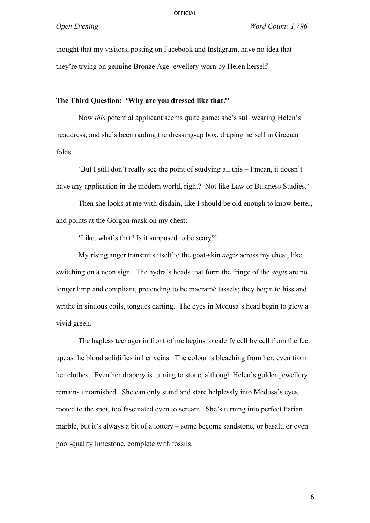thought that my visitors, posting on Facebook and Instagram, have no idea that they're trying on genuine Bronze Age jewellery worn by Helen herself.

# **The Third Question: 'Why are you dressed like that?'**

Now *this* potential applicant seems quite game; she's still wearing Helen's headdress, and she's been raiding the dressing-up box, draping herself in Grecian folds.

'But I still don't really see the point of studying all this – I mean, it doesn't have any application in the modern world, right? Not like Law or Business Studies.'

Then she looks at me with disdain, like I should be old enough to know better, and points at the Gorgon mask on my chest:

'Like, what's that? Is it supposed to be scary?'

My rising anger transmits itself to the goat-skin *aegis* across my chest, like switching on a neon sign. The hydra's heads that form the fringe of the *aegis* are no longer limp and compliant, pretending to be macramé tassels; they begin to hiss and writhe in sinuous coils, tongues darting. The eyes in Medusa's head begin to glow a vivid green.

The hapless teenager in front of me begins to calcify cell by cell from the feet up, as the blood solidifies in her veins. The colour is bleaching from her, even from her clothes. Even her drapery is turning to stone, although Helen's golden jewellery remains untarnished. She can only stand and stare helplessly into Medusa's eyes, rooted to the spot, too fascinated even to scream. She's turning into perfect Parian marble, but it's always a bit of a lottery – some become sandstone, or basalt, or even poor-quality limestone, complete with fossils.